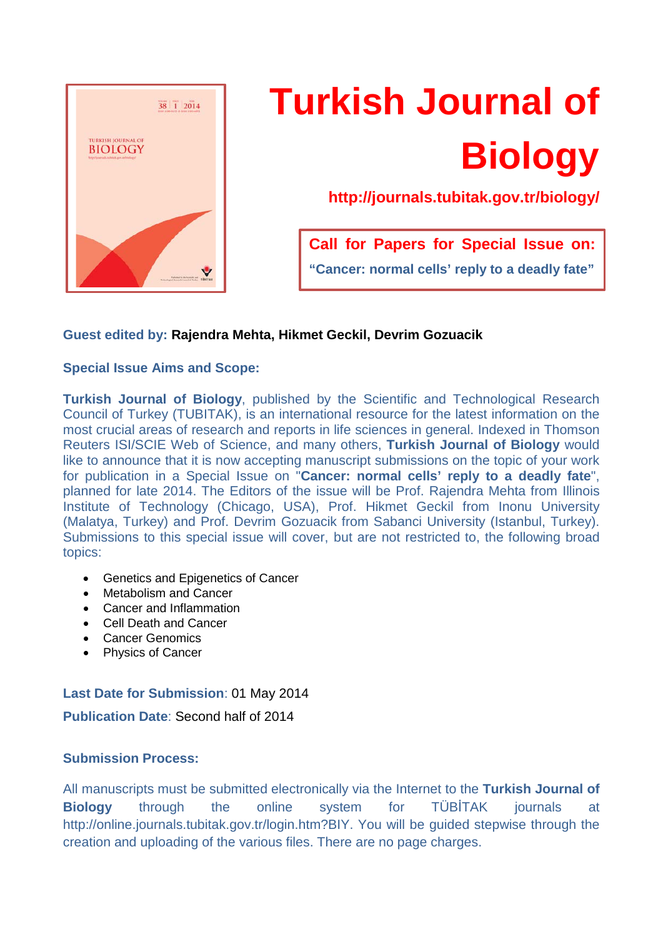

# **Turkish Journal of Biology**

**http://journals.tubitak.gov.tr/biology/**

**Call for Papers for Special Issue on: "Cancer: normal cells' reply to a deadly fate"**

# **Guest edited by: Rajendra Mehta, Hikmet Geckil, Devrim Gozuacik**

# **Special Issue Aims and Scope:**

**Turkish Journal of Biology**, published by the Scientific and Technological Research Council of Turkey (TUBITAK), is an international resource for the latest information on the most crucial areas of research and reports in life sciences in general. Indexed in Thomson Reuters ISI/SCIE Web of Science, and many others, **Turkish Journal of Biology** would like to announce that it is now accepting manuscript submissions on the topic of your work for publication in a Special Issue on "**Cancer: normal cells' reply to a deadly fate**", planned for late 2014. The Editors of the issue will be Prof. Rajendra Mehta from Illinois Institute of Technology (Chicago, USA), Prof. Hikmet Geckil from Inonu University (Malatya, Turkey) and Prof. Devrim Gozuacik from Sabanci University (Istanbul, Turkey). Submissions to this special issue will cover, but are not restricted to, the following broad topics:

- Genetics and Epigenetics of Cancer
- Metabolism and Cancer
- Cancer and Inflammation
- Cell Death and Cancer
- Cancer Genomics
- Physics of Cancer

# **Last Date for Submission**: 01 May 2014

**Publication Date**: Second half of 2014

## **Submission Process:**

All manuscripts must be submitted electronically via the Internet to the **Turkish Journal of Biology** through the online system for TÜBİTAK journals at http://online.journals.tubitak.gov.tr/login.htm?BIY. You will be guided stepwise through the creation and uploading of the various files. There are no page charges.